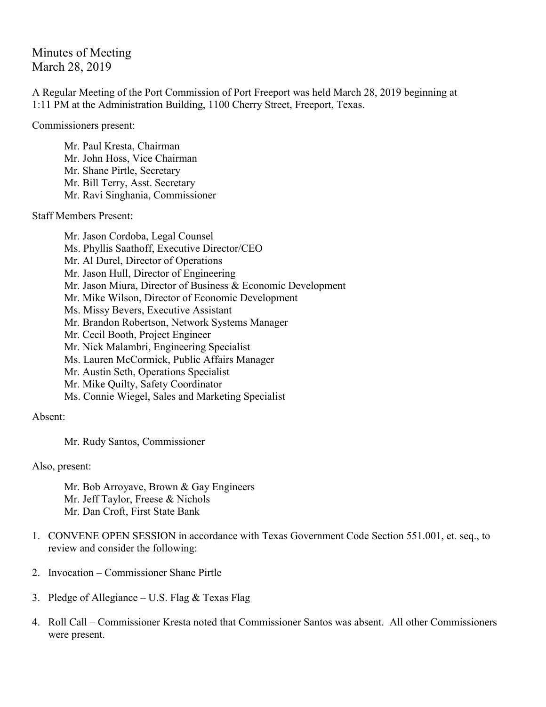Minutes of Meeting March 28, 2019

A Regular Meeting of the Port Commission of Port Freeport was held March 28, 2019 beginning at 1:11 PM at the Administration Building, 1100 Cherry Street, Freeport, Texas.

Commissioners present:

Mr. Paul Kresta, Chairman Mr. John Hoss, Vice Chairman Mr. Shane Pirtle, Secretary Mr. Bill Terry, Asst. Secretary Mr. Ravi Singhania, Commissioner

Staff Members Present:

Mr. Jason Cordoba, Legal Counsel Ms. Phyllis Saathoff, Executive Director/CEO Mr. Al Durel, Director of Operations Mr. Jason Hull, Director of Engineering Mr. Jason Miura, Director of Business & Economic Development Mr. Mike Wilson, Director of Economic Development Ms. Missy Bevers, Executive Assistant Mr. Brandon Robertson, Network Systems Manager Mr. Cecil Booth, Project Engineer Mr. Nick Malambri, Engineering Specialist Ms. Lauren McCormick, Public Affairs Manager Mr. Austin Seth, Operations Specialist Mr. Mike Quilty, Safety Coordinator Ms. Connie Wiegel, Sales and Marketing Specialist

Absent:

Mr. Rudy Santos, Commissioner

Also, present:

Mr. Bob Arroyave, Brown & Gay Engineers Mr. Jeff Taylor, Freese & Nichols Mr. Dan Croft, First State Bank

- 1. CONVENE OPEN SESSION in accordance with Texas Government Code Section 551.001, et. seq., to review and consider the following:
- 2. Invocation Commissioner Shane Pirtle
- 3. Pledge of Allegiance U.S. Flag & Texas Flag
- 4. Roll Call Commissioner Kresta noted that Commissioner Santos was absent. All other Commissioners were present.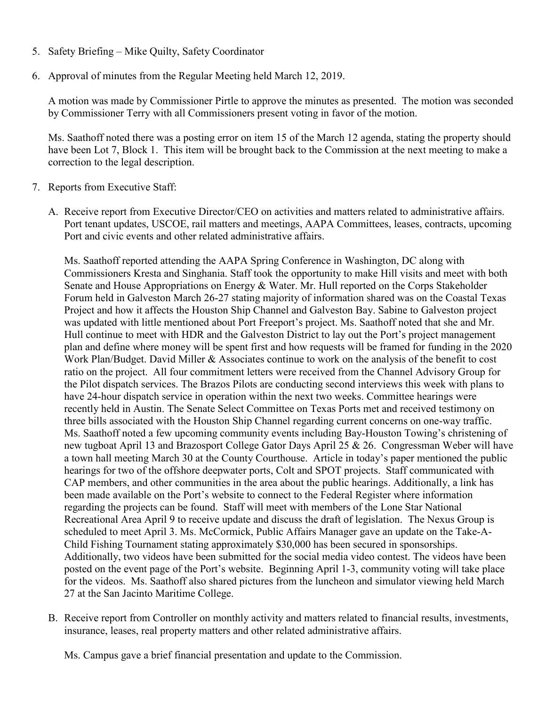- 5. Safety Briefing Mike Quilty, Safety Coordinator
- 6. Approval of minutes from the Regular Meeting held March 12, 2019.

A motion was made by Commissioner Pirtle to approve the minutes as presented. The motion was seconded by Commissioner Terry with all Commissioners present voting in favor of the motion.

Ms. Saathoff noted there was a posting error on item 15 of the March 12 agenda, stating the property should have been Lot 7, Block 1. This item will be brought back to the Commission at the next meeting to make a correction to the legal description.

- 7. Reports from Executive Staff:
	- A. Receive report from Executive Director/CEO on activities and matters related to administrative affairs. Port tenant updates, USCOE, rail matters and meetings, AAPA Committees, leases, contracts, upcoming Port and civic events and other related administrative affairs.

Ms. Saathoff reported attending the AAPA Spring Conference in Washington, DC along with Commissioners Kresta and Singhania. Staff took the opportunity to make Hill visits and meet with both Senate and House Appropriations on Energy & Water. Mr. Hull reported on the Corps Stakeholder Forum held in Galveston March 26-27 stating majority of information shared was on the Coastal Texas Project and how it affects the Houston Ship Channel and Galveston Bay. Sabine to Galveston project was updated with little mentioned about Port Freeport's project. Ms. Saathoff noted that she and Mr. Hull continue to meet with HDR and the Galveston District to lay out the Port's project management plan and define where money will be spent first and how requests will be framed for funding in the 2020 Work Plan/Budget. David Miller & Associates continue to work on the analysis of the benefit to cost ratio on the project. All four commitment letters were received from the Channel Advisory Group for the Pilot dispatch services. The Brazos Pilots are conducting second interviews this week with plans to have 24-hour dispatch service in operation within the next two weeks. Committee hearings were recently held in Austin. The Senate Select Committee on Texas Ports met and received testimony on three bills associated with the Houston Ship Channel regarding current concerns on one-way traffic. Ms. Saathoff noted a few upcoming community events including Bay-Houston Towing's christening of new tugboat April 13 and Brazosport College Gator Days April 25 & 26. Congressman Weber will have a town hall meeting March 30 at the County Courthouse. Article in today's paper mentioned the public hearings for two of the offshore deepwater ports, Colt and SPOT projects. Staff communicated with CAP members, and other communities in the area about the public hearings. Additionally, a link has been made available on the Port's website to connect to the Federal Register where information regarding the projects can be found. Staff will meet with members of the Lone Star National Recreational Area April 9 to receive update and discuss the draft of legislation. The Nexus Group is scheduled to meet April 3. Ms. McCormick, Public Affairs Manager gave an update on the Take-A-Child Fishing Tournament stating approximately \$30,000 has been secured in sponsorships. Additionally, two videos have been submitted for the social media video contest. The videos have been posted on the event page of the Port's website. Beginning April 1-3, community voting will take place for the videos. Ms. Saathoff also shared pictures from the luncheon and simulator viewing held March 27 at the San Jacinto Maritime College.

B. Receive report from Controller on monthly activity and matters related to financial results, investments, insurance, leases, real property matters and other related administrative affairs.

Ms. Campus gave a brief financial presentation and update to the Commission.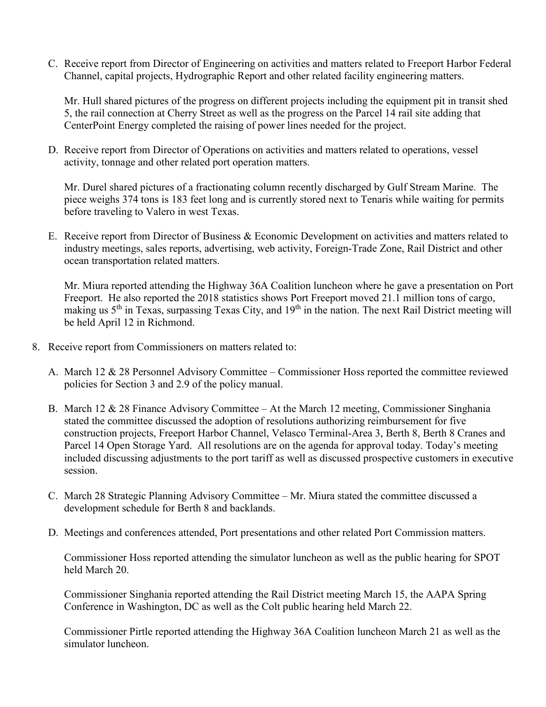C. Receive report from Director of Engineering on activities and matters related to Freeport Harbor Federal Channel, capital projects, Hydrographic Report and other related facility engineering matters.

Mr. Hull shared pictures of the progress on different projects including the equipment pit in transit shed 5, the rail connection at Cherry Street as well as the progress on the Parcel 14 rail site adding that CenterPoint Energy completed the raising of power lines needed for the project.

D. Receive report from Director of Operations on activities and matters related to operations, vessel activity, tonnage and other related port operation matters.

Mr. Durel shared pictures of a fractionating column recently discharged by Gulf Stream Marine. The piece weighs 374 tons is 183 feet long and is currently stored next to Tenaris while waiting for permits before traveling to Valero in west Texas.

E. Receive report from Director of Business & Economic Development on activities and matters related to industry meetings, sales reports, advertising, web activity, Foreign-Trade Zone, Rail District and other ocean transportation related matters.

Mr. Miura reported attending the Highway 36A Coalition luncheon where he gave a presentation on Port Freeport. He also reported the 2018 statistics shows Port Freeport moved 21.1 million tons of cargo, making us  $5<sup>th</sup>$  in Texas, surpassing Texas City, and  $19<sup>th</sup>$  in the nation. The next Rail District meeting will be held April 12 in Richmond.

- 8. Receive report from Commissioners on matters related to:
	- A. March 12 & 28 Personnel Advisory Committee Commissioner Hoss reported the committee reviewed policies for Section 3 and 2.9 of the policy manual.
	- B. March 12 & 28 Finance Advisory Committee At the March 12 meeting, Commissioner Singhania stated the committee discussed the adoption of resolutions authorizing reimbursement for five construction projects, Freeport Harbor Channel, Velasco Terminal-Area 3, Berth 8, Berth 8 Cranes and Parcel 14 Open Storage Yard. All resolutions are on the agenda for approval today. Today's meeting included discussing adjustments to the port tariff as well as discussed prospective customers in executive session.
	- C. March 28 Strategic Planning Advisory Committee Mr. Miura stated the committee discussed a development schedule for Berth 8 and backlands.
	- D. Meetings and conferences attended, Port presentations and other related Port Commission matters.

Commissioner Hoss reported attending the simulator luncheon as well as the public hearing for SPOT held March 20.

Commissioner Singhania reported attending the Rail District meeting March 15, the AAPA Spring Conference in Washington, DC as well as the Colt public hearing held March 22.

Commissioner Pirtle reported attending the Highway 36A Coalition luncheon March 21 as well as the simulator luncheon.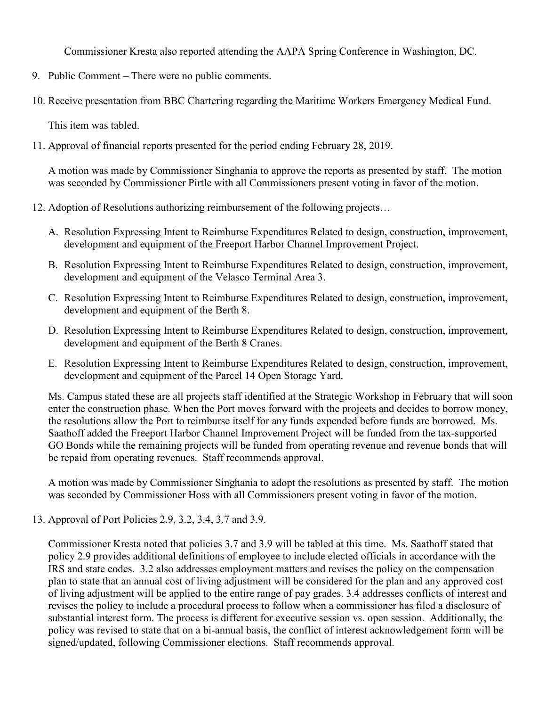Commissioner Kresta also reported attending the AAPA Spring Conference in Washington, DC.

- 9. Public Comment There were no public comments.
- 10. Receive presentation from BBC Chartering regarding the Maritime Workers Emergency Medical Fund.

This item was tabled.

11. Approval of financial reports presented for the period ending February 28, 2019.

A motion was made by Commissioner Singhania to approve the reports as presented by staff. The motion was seconded by Commissioner Pirtle with all Commissioners present voting in favor of the motion.

- 12. Adoption of Resolutions authorizing reimbursement of the following projects…
	- A. Resolution Expressing Intent to Reimburse Expenditures Related to design, construction, improvement, development and equipment of the Freeport Harbor Channel Improvement Project.
	- B. Resolution Expressing Intent to Reimburse Expenditures Related to design, construction, improvement, development and equipment of the Velasco Terminal Area 3.
	- C. Resolution Expressing Intent to Reimburse Expenditures Related to design, construction, improvement, development and equipment of the Berth 8.
	- D. Resolution Expressing Intent to Reimburse Expenditures Related to design, construction, improvement, development and equipment of the Berth 8 Cranes.
	- E. Resolution Expressing Intent to Reimburse Expenditures Related to design, construction, improvement, development and equipment of the Parcel 14 Open Storage Yard.

Ms. Campus stated these are all projects staff identified at the Strategic Workshop in February that will soon enter the construction phase. When the Port moves forward with the projects and decides to borrow money, the resolutions allow the Port to reimburse itself for any funds expended before funds are borrowed. Ms. Saathoff added the Freeport Harbor Channel Improvement Project will be funded from the tax-supported GO Bonds while the remaining projects will be funded from operating revenue and revenue bonds that will be repaid from operating revenues. Staff recommends approval.

A motion was made by Commissioner Singhania to adopt the resolutions as presented by staff. The motion was seconded by Commissioner Hoss with all Commissioners present voting in favor of the motion.

13. Approval of Port Policies 2.9, 3.2, 3.4, 3.7 and 3.9.

Commissioner Kresta noted that policies 3.7 and 3.9 will be tabled at this time. Ms. Saathoff stated that policy 2.9 provides additional definitions of employee to include elected officials in accordance with the IRS and state codes. 3.2 also addresses employment matters and revises the policy on the compensation plan to state that an annual cost of living adjustment will be considered for the plan and any approved cost of living adjustment will be applied to the entire range of pay grades. 3.4 addresses conflicts of interest and revises the policy to include a procedural process to follow when a commissioner has filed a disclosure of substantial interest form. The process is different for executive session vs. open session. Additionally, the policy was revised to state that on a bi-annual basis, the conflict of interest acknowledgement form will be signed/updated, following Commissioner elections. Staff recommends approval.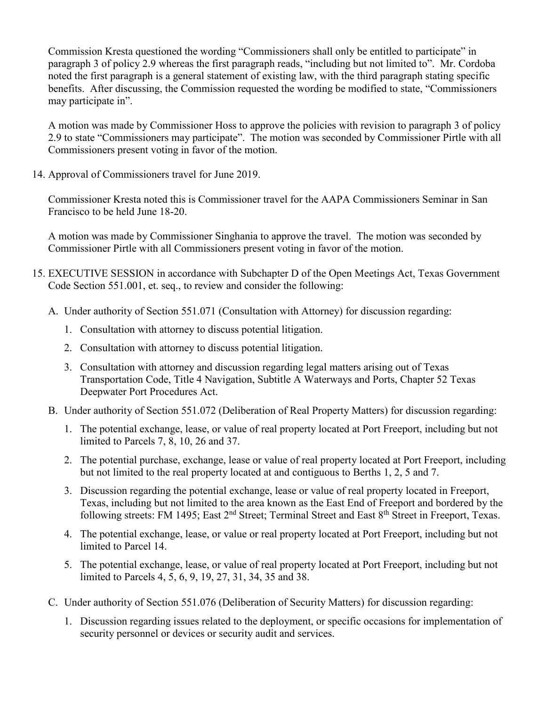Commission Kresta questioned the wording "Commissioners shall only be entitled to participate" in paragraph 3 of policy 2.9 whereas the first paragraph reads, "including but not limited to". Mr. Cordoba noted the first paragraph is a general statement of existing law, with the third paragraph stating specific benefits. After discussing, the Commission requested the wording be modified to state, "Commissioners may participate in".

A motion was made by Commissioner Hoss to approve the policies with revision to paragraph 3 of policy 2.9 to state "Commissioners may participate". The motion was seconded by Commissioner Pirtle with all Commissioners present voting in favor of the motion.

14. Approval of Commissioners travel for June 2019.

Commissioner Kresta noted this is Commissioner travel for the AAPA Commissioners Seminar in San Francisco to be held June 18-20.

A motion was made by Commissioner Singhania to approve the travel. The motion was seconded by Commissioner Pirtle with all Commissioners present voting in favor of the motion.

- 15. EXECUTIVE SESSION in accordance with Subchapter D of the Open Meetings Act, Texas Government Code Section 551.001, et. seq., to review and consider the following:
	- A. Under authority of Section 551.071 (Consultation with Attorney) for discussion regarding:
		- 1. Consultation with attorney to discuss potential litigation.
		- 2. Consultation with attorney to discuss potential litigation.
		- 3. Consultation with attorney and discussion regarding legal matters arising out of Texas Transportation Code, Title 4 Navigation, Subtitle A Waterways and Ports, Chapter 52 Texas Deepwater Port Procedures Act.
	- B. Under authority of Section 551.072 (Deliberation of Real Property Matters) for discussion regarding:
		- 1. The potential exchange, lease, or value of real property located at Port Freeport, including but not limited to Parcels 7, 8, 10, 26 and 37.
		- 2. The potential purchase, exchange, lease or value of real property located at Port Freeport, including but not limited to the real property located at and contiguous to Berths 1, 2, 5 and 7.
		- 3. Discussion regarding the potential exchange, lease or value of real property located in Freeport, Texas, including but not limited to the area known as the East End of Freeport and bordered by the following streets: FM 1495; East 2<sup>nd</sup> Street; Terminal Street and East 8<sup>th</sup> Street in Freeport, Texas.
		- 4. The potential exchange, lease, or value or real property located at Port Freeport, including but not limited to Parcel 14.
		- 5. The potential exchange, lease, or value of real property located at Port Freeport, including but not limited to Parcels 4, 5, 6, 9, 19, 27, 31, 34, 35 and 38.
	- C. Under authority of Section 551.076 (Deliberation of Security Matters) for discussion regarding:
		- 1. Discussion regarding issues related to the deployment, or specific occasions for implementation of security personnel or devices or security audit and services.